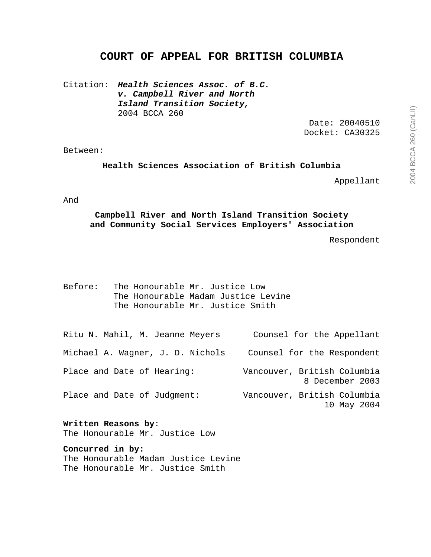# **COURT OF APPEAL FOR BRITISH COLUMBIA**

Citation: **Health Sciences Assoc. of B.C. v. Campbell River and North Island Transition Society,** 2004 BCCA 260

> Date: 20040510 Docket: CA30325

#### Between:

**Health Sciences Association of British Columbia** 

Appellant

And

**Campbell River and North Island Transition Society and Community Social Services Employers' Association** 

Respondent

| Before: |  | The Honourable Mr. Justice Low      |
|---------|--|-------------------------------------|
|         |  | The Honourable Madam Justice Levine |
|         |  | The Honourable Mr. Justice Smith    |

| Ritu N. Mahil, M. Jeanne Meyers  | Counsel for the Appellant                      |
|----------------------------------|------------------------------------------------|
| Michael A. Wagner, J. D. Nichols | Counsel for the Respondent                     |
| Place and Date of Hearing:       | Vancouver, British Columbia<br>8 December 2003 |
| Place and Date of Judgment:      | Vancouver, British Columbia<br>10 May 2004     |

**Written Reasons by**: The Honourable Mr. Justice Low

**Concurred in by:**  The Honourable Madam Justice Levine The Honourable Mr. Justice Smith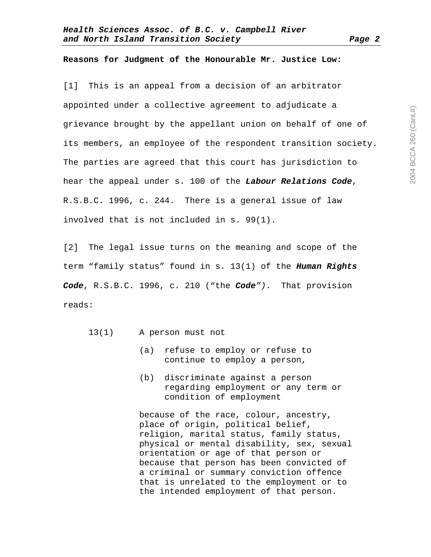#### **Reasons for Judgment of the Honourable Mr. Justice Low:**

[1] This is an appeal from a decision of an arbitrator appointed under a collective agreement to adjudicate a grievance brought by the appellant union on behalf of one of its members, an employee of the respondent transition society. The parties are agreed that this court has jurisdiction to hear the appeal under s. 100 of the **Labour Relations Code**, R.S.B.C. 1996, c. 244. There is a general issue of law involved that is not included in s. 99(1).

[2] The legal issue turns on the meaning and scope of the term "family status" found in s. 13(1) of the **Human Rights Code**, R.S.B.C. 1996, c. 210 ("the **Code**"). That provision reads:

- 13(1) A person must not
	- (a) refuse to employ or refuse to continue to employ a person,
	- (b) discriminate against a person regarding employment or any term or condition of employment

 because of the race, colour, ancestry, place of origin, political belief, religion, marital status, family status, physical or mental disability, sex, sexual orientation or age of that person or because that person has been convicted of a criminal or summary conviction offence that is unrelated to the employment or to the intended employment of that person.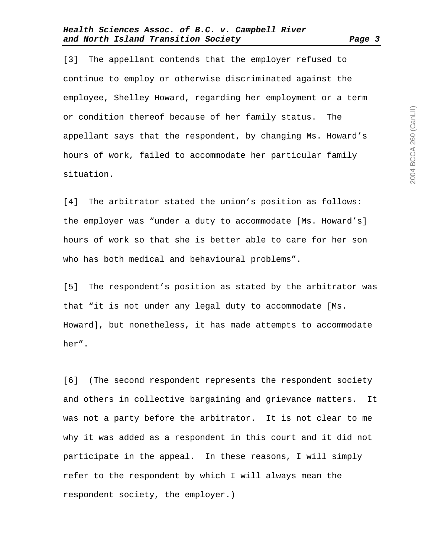[3] The appellant contends that the employer refused to continue to employ or otherwise discriminated against the employee, Shelley Howard, regarding her employment or a term or condition thereof because of her family status. The appellant says that the respondent, by changing Ms. Howard's hours of work, failed to accommodate her particular family situation.

[4] The arbitrator stated the union's position as follows: the employer was "under a duty to accommodate [Ms. Howard's] hours of work so that she is better able to care for her son who has both medical and behavioural problems".

[5] The respondent's position as stated by the arbitrator was that "it is not under any legal duty to accommodate [Ms. Howard], but nonetheless, it has made attempts to accommodate her".

[6] (The second respondent represents the respondent society and others in collective bargaining and grievance matters. It was not a party before the arbitrator. It is not clear to me why it was added as a respondent in this court and it did not participate in the appeal. In these reasons, I will simply refer to the respondent by which I will always mean the respondent society, the employer.)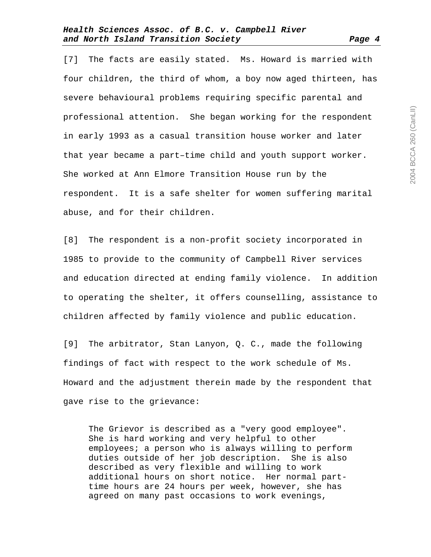[7] The facts are easily stated. Ms. Howard is married with four children, the third of whom, a boy now aged thirteen, has severe behavioural problems requiring specific parental and professional attention. She began working for the respondent in early 1993 as a casual transition house worker and later that year became a part–time child and youth support worker. She worked at Ann Elmore Transition House run by the respondent. It is a safe shelter for women suffering marital abuse, and for their children.

[8] The respondent is a non-profit society incorporated in 1985 to provide to the community of Campbell River services and education directed at ending family violence. In addition to operating the shelter, it offers counselling, assistance to children affected by family violence and public education.

[9] The arbitrator, Stan Lanyon, Q. C., made the following findings of fact with respect to the work schedule of Ms. Howard and the adjustment therein made by the respondent that gave rise to the grievance:

The Grievor is described as a "very good employee". She is hard working and very helpful to other employees; a person who is always willing to perform duties outside of her job description. She is also described as very flexible and willing to work additional hours on short notice. Her normal parttime hours are 24 hours per week, however, she has agreed on many past occasions to work evenings,

2004 BCCA 260 (CanLII) 2004 BCCA 260 (CanLII)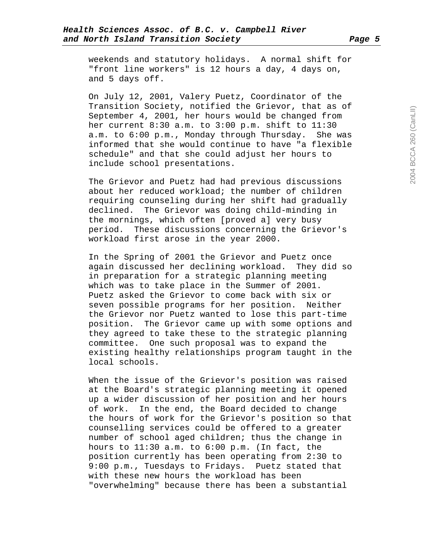weekends and statutory holidays. A normal shift for "front line workers" is 12 hours a day, 4 days on, and 5 days off.

On July 12, 2001, Valery Puetz, Coordinator of the Transition Society, notified the Grievor, that as of September 4, 2001, her hours would be changed from her current 8:30 a.m. to 3:00 p.m. shift to 11:30 a.m. to 6:00 p.m., Monday through Thursday. She was informed that she would continue to have "a flexible schedule" and that she could adjust her hours to include school presentations.

The Grievor and Puetz had had previous discussions about her reduced workload; the number of children requiring counseling during her shift had gradually declined. The Grievor was doing child-minding in the mornings, which often [proved a] very busy period. These discussions concerning the Grievor's workload first arose in the year 2000.

In the Spring of 2001 the Grievor and Puetz once again discussed her declining workload. They did so in preparation for a strategic planning meeting which was to take place in the Summer of 2001. Puetz asked the Grievor to come back with six or seven possible programs for her position. Neither the Grievor nor Puetz wanted to lose this part-time position. The Grievor came up with some options and they agreed to take these to the strategic planning committee. One such proposal was to expand the existing healthy relationships program taught in the local schools.

When the issue of the Grievor's position was raised at the Board's strategic planning meeting it opened up a wider discussion of her position and her hours of work. In the end, the Board decided to change the hours of work for the Grievor's position so that counselling services could be offered to a greater number of school aged children; thus the change in hours to 11:30 a.m. to 6:00 p.m. (In fact, the position currently has been operating from 2:30 to 9:00 p.m., Tuesdays to Fridays. Puetz stated that with these new hours the workload has been "overwhelming" because there has been a substantial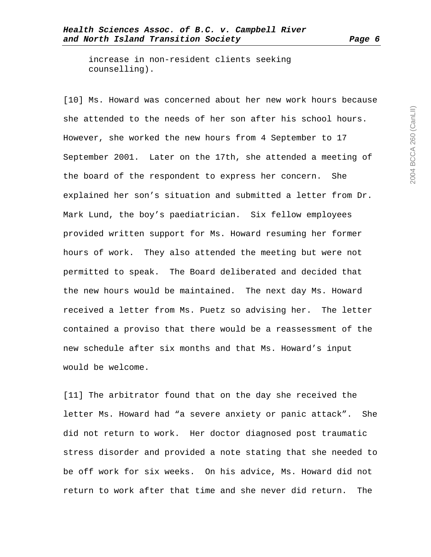increase in non-resident clients seeking counselling).

[10] Ms. Howard was concerned about her new work hours because she attended to the needs of her son after his school hours. However, she worked the new hours from 4 September to 17 September 2001. Later on the 17th, she attended a meeting of the board of the respondent to express her concern. She explained her son's situation and submitted a letter from Dr. Mark Lund, the boy's paediatrician. Six fellow employees provided written support for Ms. Howard resuming her former hours of work. They also attended the meeting but were not permitted to speak. The Board deliberated and decided that the new hours would be maintained. The next day Ms. Howard received a letter from Ms. Puetz so advising her. The letter contained a proviso that there would be a reassessment of the new schedule after six months and that Ms. Howard's input would be welcome.

[11] The arbitrator found that on the day she received the letter Ms. Howard had "a severe anxiety or panic attack". She did not return to work. Her doctor diagnosed post traumatic stress disorder and provided a note stating that she needed to be off work for six weeks. On his advice, Ms. Howard did not return to work after that time and she never did return. The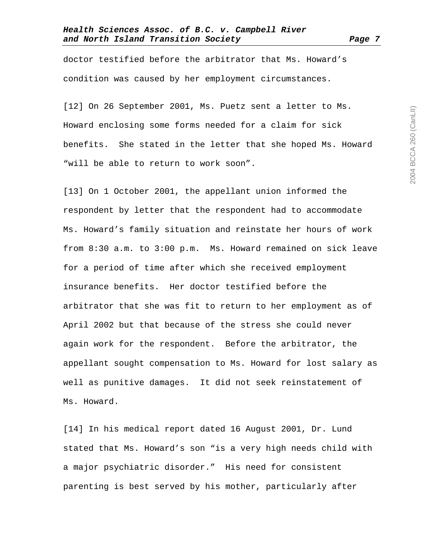doctor testified before the arbitrator that Ms. Howard's condition was caused by her employment circumstances.

[12] On 26 September 2001, Ms. Puetz sent a letter to Ms. Howard enclosing some forms needed for a claim for sick benefits. She stated in the letter that she hoped Ms. Howard "will be able to return to work soon".

[13] On 1 October 2001, the appellant union informed the respondent by letter that the respondent had to accommodate Ms. Howard's family situation and reinstate her hours of work from 8:30 a.m. to 3:00 p.m. Ms. Howard remained on sick leave for a period of time after which she received employment insurance benefits. Her doctor testified before the arbitrator that she was fit to return to her employment as of April 2002 but that because of the stress she could never again work for the respondent. Before the arbitrator, the appellant sought compensation to Ms. Howard for lost salary as well as punitive damages. It did not seek reinstatement of Ms. Howard.

[14] In his medical report dated 16 August 2001, Dr. Lund stated that Ms. Howard's son "is a very high needs child with a major psychiatric disorder." His need for consistent parenting is best served by his mother, particularly after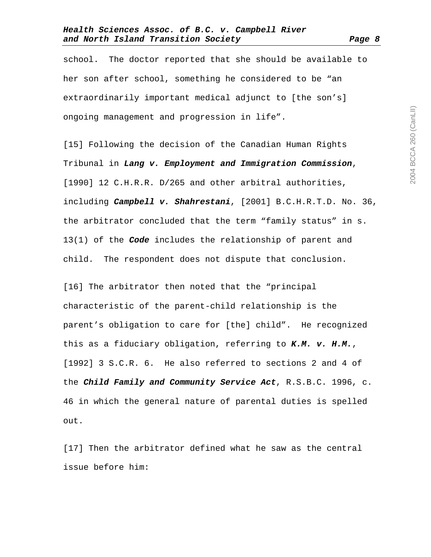school. The doctor reported that she should be available to her son after school, something he considered to be "an extraordinarily important medical adjunct to [the son's] ongoing management and progression in life".

[15] Following the decision of the Canadian Human Rights Tribunal in **Lang v. Employment and Immigration Commission**, [1990] 12 C.H.R.R. D/265 and other arbitral authorities, including **Campbell v. Shahrestani**, [2001] B.C.H.R.T.D. No. 36, the arbitrator concluded that the term "family status" in s. 13(1) of the **Code** includes the relationship of parent and child. The respondent does not dispute that conclusion.

[16] The arbitrator then noted that the "principal characteristic of the parent-child relationship is the parent's obligation to care for [the] child". He recognized this as a fiduciary obligation, referring to **K.M. v. H.M.**, [1992] 3 S.C.R. 6. He also referred to sections 2 and 4 of the **Child Family and Community Service Act**, R.S.B.C. 1996, c. 46 in which the general nature of parental duties is spelled out.

[17] Then the arbitrator defined what he saw as the central issue before him: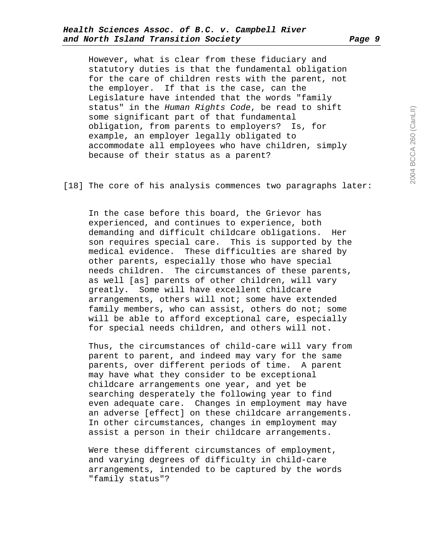However, what is clear from these fiduciary and statutory duties is that the fundamental obligation for the care of children rests with the parent, not the employer. If that is the case, can the Legislature have intended that the words "family status" in the Human Rights Code, be read to shift some significant part of that fundamental obligation, from parents to employers? Is, for example, an employer legally obligated to accommodate all employees who have children, simply because of their status as a parent?

[18] The core of his analysis commences two paragraphs later:

In the case before this board, the Grievor has experienced, and continues to experience, both demanding and difficult childcare obligations. Her son requires special care. This is supported by the medical evidence. These difficulties are shared by other parents, especially those who have special needs children. The circumstances of these parents, as well [as] parents of other children, will vary greatly. Some will have excellent childcare arrangements, others will not; some have extended family members, who can assist, others do not; some will be able to afford exceptional care, especially for special needs children, and others will not.

Thus, the circumstances of child-care will vary from parent to parent, and indeed may vary for the same parents, over different periods of time. A parent may have what they consider to be exceptional childcare arrangements one year, and yet be searching desperately the following year to find even adequate care. Changes in employment may have an adverse [effect] on these childcare arrangements. In other circumstances, changes in employment may assist a person in their childcare arrangements.

Were these different circumstances of employment, and varying degrees of difficulty in child-care arrangements, intended to be captured by the words "family status"?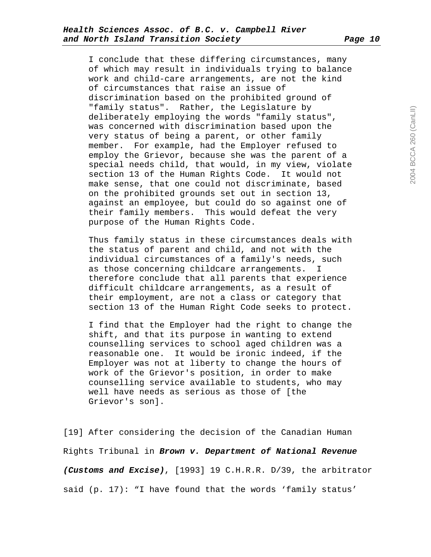I conclude that these differing circumstances, many of which may result in individuals trying to balance work and child-care arrangements, are not the kind of circumstances that raise an issue of discrimination based on the prohibited ground of "family status". Rather, the Legislature by deliberately employing the words "family status", was concerned with discrimination based upon the very status of being a parent, or other family member. For example, had the Employer refused to employ the Grievor, because she was the parent of a special needs child, that would, in my view, violate section 13 of the Human Rights Code. It would not make sense, that one could not discriminate, based on the prohibited grounds set out in section 13, against an employee, but could do so against one of their family members. This would defeat the very purpose of the Human Rights Code.

Thus family status in these circumstances deals with the status of parent and child, and not with the individual circumstances of a family's needs, such as those concerning childcare arrangements. I therefore conclude that all parents that experience difficult childcare arrangements, as a result of their employment, are not a class or category that section 13 of the Human Right Code seeks to protect.

I find that the Employer had the right to change the shift, and that its purpose in wanting to extend counselling services to school aged children was a reasonable one. It would be ironic indeed, if the Employer was not at liberty to change the hours of work of the Grievor's position, in order to make counselling service available to students, who may well have needs as serious as those of [the Grievor's son].

[19] After considering the decision of the Canadian Human Rights Tribunal in **Brown v. Department of National Revenue (Customs and Excise)**, [1993] 19 C.H.R.R. D/39, the arbitrator said (p. 17): "I have found that the words 'family status'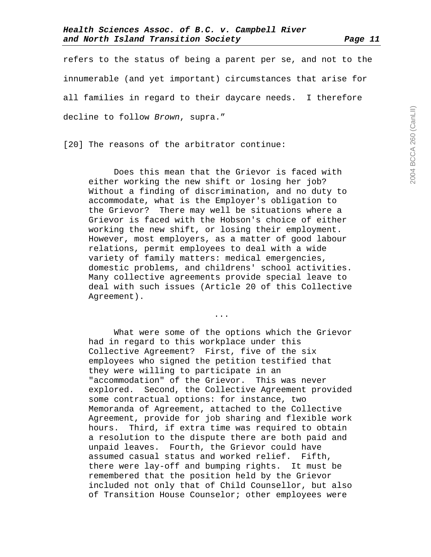refers to the status of being a parent per se, and not to the innumerable (and yet important) circumstances that arise for all families in regard to their daycare needs. I therefore decline to follow Brown, supra."

[20] The reasons of the arbitrator continue:

 Does this mean that the Grievor is faced with either working the new shift or losing her job? Without a finding of discrimination, and no duty to accommodate, what is the Employer's obligation to the Grievor? There may well be situations where a Grievor is faced with the Hobson's choice of either working the new shift, or losing their employment. However, most employers, as a matter of good labour relations, permit employees to deal with a wide variety of family matters: medical emergencies, domestic problems, and childrens' school activities. Many collective agreements provide special leave to deal with such issues (Article 20 of this Collective Agreement).

...

 What were some of the options which the Grievor had in regard to this workplace under this Collective Agreement? First, five of the six employees who signed the petition testified that they were willing to participate in an "accommodation" of the Grievor. This was never explored. Second, the Collective Agreement provided some contractual options: for instance, two Memoranda of Agreement, attached to the Collective Agreement, provide for job sharing and flexible work hours. Third, if extra time was required to obtain a resolution to the dispute there are both paid and unpaid leaves. Fourth, the Grievor could have assumed casual status and worked relief. Fifth, there were lay-off and bumping rights. It must be remembered that the position held by the Grievor included not only that of Child Counsellor, but also of Transition House Counselor; other employees were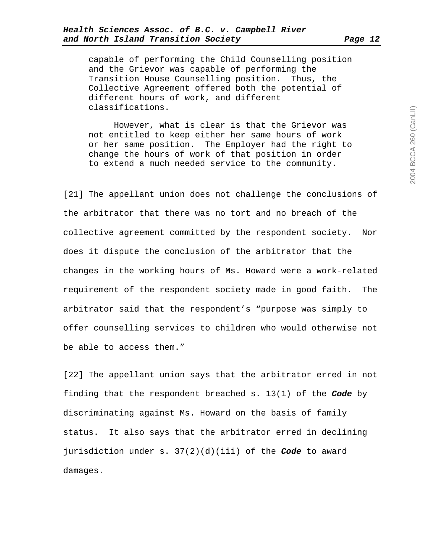capable of performing the Child Counselling position and the Grievor was capable of performing the Transition House Counselling position. Thus, the Collective Agreement offered both the potential of different hours of work, and different classifications.

 However, what is clear is that the Grievor was not entitled to keep either her same hours of work or her same position. The Employer had the right to change the hours of work of that position in order to extend a much needed service to the community.

[21] The appellant union does not challenge the conclusions of the arbitrator that there was no tort and no breach of the collective agreement committed by the respondent society. Nor does it dispute the conclusion of the arbitrator that the changes in the working hours of Ms. Howard were a work-related requirement of the respondent society made in good faith. The arbitrator said that the respondent's "purpose was simply to offer counselling services to children who would otherwise not be able to access them."

[22] The appellant union says that the arbitrator erred in not finding that the respondent breached s. 13(1) of the **Code** by discriminating against Ms. Howard on the basis of family status. It also says that the arbitrator erred in declining jurisdiction under s. 37(2)(d)(iii) of the **Code** to award damages.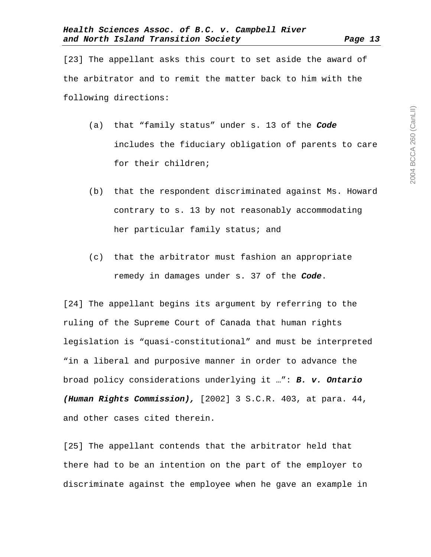[23] The appellant asks this court to set aside the award of the arbitrator and to remit the matter back to him with the following directions:

- (a) that "family status" under s. 13 of the **Code** includes the fiduciary obligation of parents to care for their children;
- (b) that the respondent discriminated against Ms. Howard contrary to s. 13 by not reasonably accommodating her particular family status; and
- (c) that the arbitrator must fashion an appropriate remedy in damages under s. 37 of the **Code**.

[24] The appellant begins its argument by referring to the ruling of the Supreme Court of Canada that human rights legislation is "quasi-constitutional" and must be interpreted "in a liberal and purposive manner in order to advance the broad policy considerations underlying it …": **B. v. Ontario (Human Rights Commission),** [2002] 3 S.C.R. 403, at para. 44, and other cases cited therein.

[25] The appellant contends that the arbitrator held that there had to be an intention on the part of the employer to discriminate against the employee when he gave an example in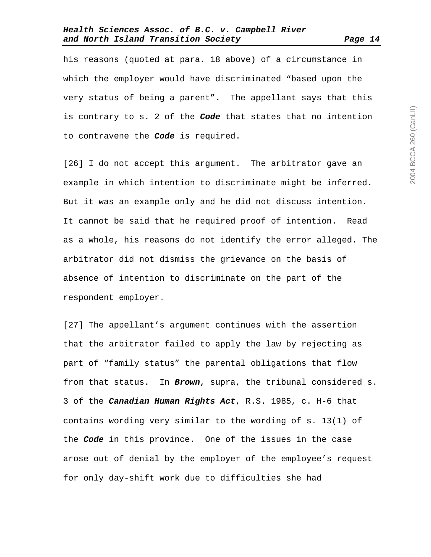his reasons (quoted at para. 18 above) of a circumstance in which the employer would have discriminated "based upon the very status of being a parent". The appellant says that this is contrary to s. 2 of the **Code** that states that no intention to contravene the **Code** is required.

[26] I do not accept this argument. The arbitrator gave an example in which intention to discriminate might be inferred. But it was an example only and he did not discuss intention. It cannot be said that he required proof of intention. Read as a whole, his reasons do not identify the error alleged. The arbitrator did not dismiss the grievance on the basis of absence of intention to discriminate on the part of the respondent employer.

[27] The appellant's argument continues with the assertion that the arbitrator failed to apply the law by rejecting as part of "family status" the parental obligations that flow from that status. In **Brown**, supra, the tribunal considered s. 3 of the **Canadian Human Rights Act**, R.S. 1985, c. H-6 that contains wording very similar to the wording of s. 13(1) of the **Code** in this province. One of the issues in the case arose out of denial by the employer of the employee's request for only day-shift work due to difficulties she had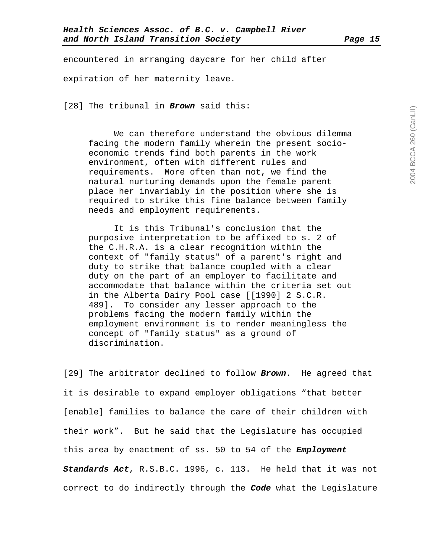encountered in arranging daycare for her child after expiration of her maternity leave.

[28] The tribunal in **Brown** said this:

 We can therefore understand the obvious dilemma facing the modern family wherein the present socioeconomic trends find both parents in the work environment, often with different rules and requirements. More often than not, we find the natural nurturing demands upon the female parent place her invariably in the position where she is required to strike this fine balance between family needs and employment requirements.

 It is this Tribunal's conclusion that the purposive interpretation to be affixed to s. 2 of the C.H.R.A. is a clear recognition within the context of "family status" of a parent's right and duty to strike that balance coupled with a clear duty on the part of an employer to facilitate and accommodate that balance within the criteria set out in the Alberta Dairy Pool case [[1990] 2 S.C.R. 489]. To consider any lesser approach to the problems facing the modern family within the employment environment is to render meaningless the concept of "family status" as a ground of discrimination.

[29] The arbitrator declined to follow **Brown**. He agreed that it is desirable to expand employer obligations "that better [enable] families to balance the care of their children with their work". But he said that the Legislature has occupied this area by enactment of ss. 50 to 54 of the **Employment Standards Act**, R.S.B.C. 1996, c. 113. He held that it was not correct to do indirectly through the **Code** what the Legislature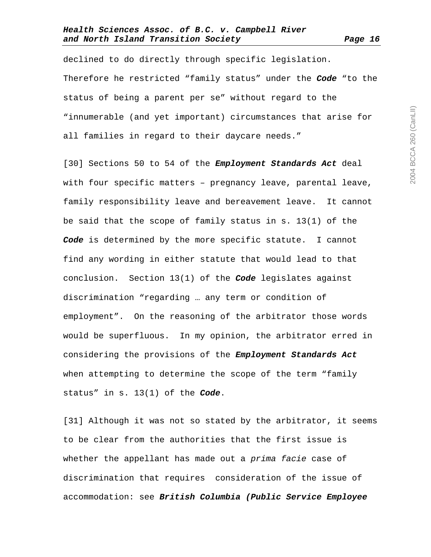declined to do directly through specific legislation. Therefore he restricted "family status" under the **Code** "to the status of being a parent per se" without regard to the "innumerable (and yet important) circumstances that arise for all families in regard to their daycare needs."

[30] Sections 50 to 54 of the **Employment Standards Act** deal with four specific matters – pregnancy leave, parental leave, family responsibility leave and bereavement leave. It cannot be said that the scope of family status in s. 13(1) of the **Code** is determined by the more specific statute. I cannot find any wording in either statute that would lead to that conclusion. Section 13(1) of the **Code** legislates against discrimination "regarding … any term or condition of employment". On the reasoning of the arbitrator those words would be superfluous. In my opinion, the arbitrator erred in considering the provisions of the **Employment Standards Act** when attempting to determine the scope of the term "family status" in s. 13(1) of the **Code**.

[31] Although it was not so stated by the arbitrator, it seems to be clear from the authorities that the first issue is whether the appellant has made out a prima facie case of discrimination that requires consideration of the issue of accommodation: see **British Columbia (Public Service Employee**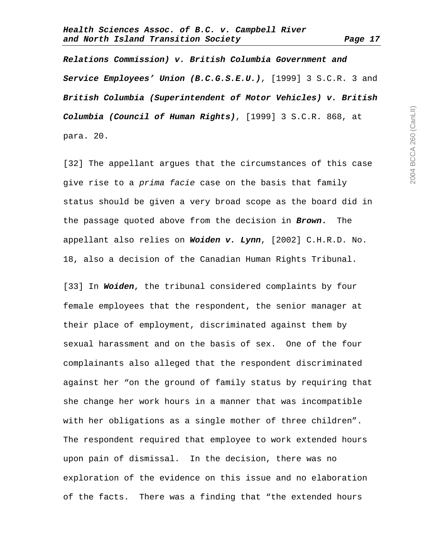**Relations Commission) v. British Columbia Government and Service Employees' Union (B.C.G.S.E.U.)**, [1999] 3 S.C.R. 3 and **British Columbia (Superintendent of Motor Vehicles) v. British Columbia (Council of Human Rights)**, [1999] 3 S.C.R. 868, at para. 20.

[32] The appellant argues that the circumstances of this case give rise to a prima facie case on the basis that family status should be given a very broad scope as the board did in the passage quoted above from the decision in **Brown.** The appellant also relies on **Woiden v. Lynn**, [2002] C.H.R.D. No. 18, also a decision of the Canadian Human Rights Tribunal.

[33] In **Woiden**, the tribunal considered complaints by four female employees that the respondent, the senior manager at their place of employment, discriminated against them by sexual harassment and on the basis of sex. One of the four complainants also alleged that the respondent discriminated against her "on the ground of family status by requiring that she change her work hours in a manner that was incompatible with her obligations as a single mother of three children". The respondent required that employee to work extended hours upon pain of dismissal. In the decision, there was no exploration of the evidence on this issue and no elaboration of the facts. There was a finding that "the extended hours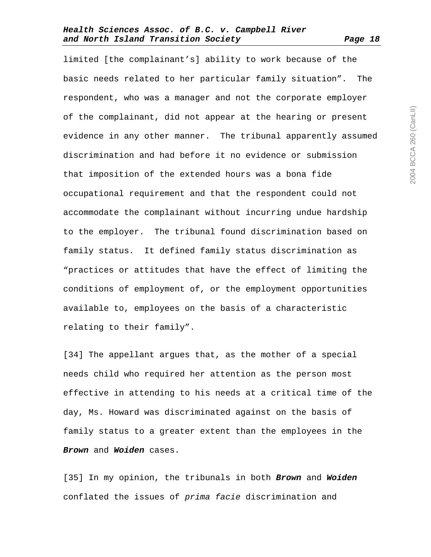limited [the complainant's] ability to work because of the basic needs related to her particular family situation". The respondent, who was a manager and not the corporate employer of the complainant, did not appear at the hearing or present evidence in any other manner. The tribunal apparently assumed discrimination and had before it no evidence or submission that imposition of the extended hours was a bona fide occupational requirement and that the respondent could not accommodate the complainant without incurring undue hardship to the employer. The tribunal found discrimination based on family status. It defined family status discrimination as "practices or attitudes that have the effect of limiting the conditions of employment of, or the employment opportunities available to, employees on the basis of a characteristic relating to their family".

[34] The appellant argues that, as the mother of a special needs child who required her attention as the person most effective in attending to his needs at a critical time of the day, Ms. Howard was discriminated against on the basis of family status to a greater extent than the employees in the **Brown** and **Woiden** cases.

[35] In my opinion, the tribunals in both **Brown** and **Woiden** conflated the issues of prima facie discrimination and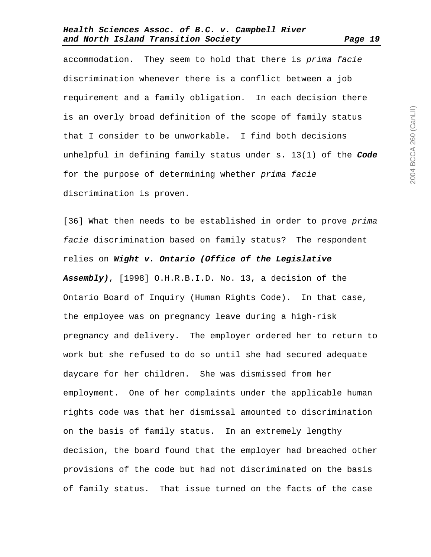accommodation. They seem to hold that there is prima facie discrimination whenever there is a conflict between a job requirement and a family obligation. In each decision there is an overly broad definition of the scope of family status that I consider to be unworkable. I find both decisions unhelpful in defining family status under s. 13(1) of the **Code** for the purpose of determining whether prima facie discrimination is proven.

[36] What then needs to be established in order to prove prima facie discrimination based on family status? The respondent relies on **Wight v. Ontario (Office of the Legislative Assembly)**, [1998] O.H.R.B.I.D. No. 13, a decision of the Ontario Board of Inquiry (Human Rights Code). In that case, the employee was on pregnancy leave during a high-risk pregnancy and delivery. The employer ordered her to return to work but she refused to do so until she had secured adequate daycare for her children. She was dismissed from her employment. One of her complaints under the applicable human rights code was that her dismissal amounted to discrimination on the basis of family status. In an extremely lengthy decision, the board found that the employer had breached other provisions of the code but had not discriminated on the basis of family status. That issue turned on the facts of the case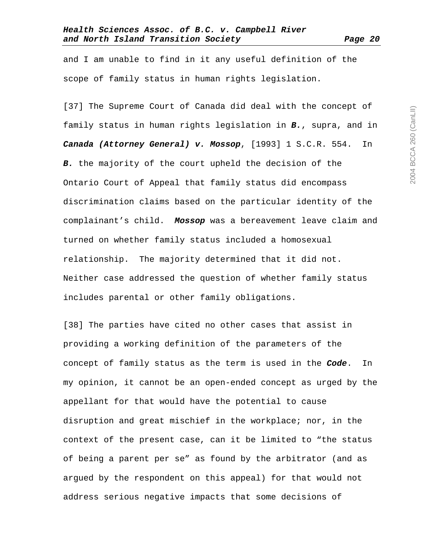and I am unable to find in it any useful definition of the scope of family status in human rights legislation.

[37] The Supreme Court of Canada did deal with the concept of family status in human rights legislation in **B.**, supra, and in **Canada (Attorney General) v. Mossop**, [1993] 1 S.C.R. 554. In **B.** the majority of the court upheld the decision of the Ontario Court of Appeal that family status did encompass discrimination claims based on the particular identity of the complainant's child. **Mossop** was a bereavement leave claim and turned on whether family status included a homosexual relationship. The majority determined that it did not. Neither case addressed the question of whether family status includes parental or other family obligations.

[38] The parties have cited no other cases that assist in providing a working definition of the parameters of the concept of family status as the term is used in the **Code**. In my opinion, it cannot be an open-ended concept as urged by the appellant for that would have the potential to cause disruption and great mischief in the workplace; nor, in the context of the present case, can it be limited to "the status of being a parent per se" as found by the arbitrator (and as argued by the respondent on this appeal) for that would not address serious negative impacts that some decisions of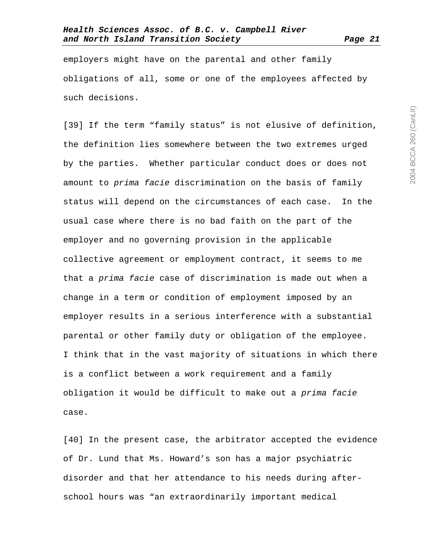employers might have on the parental and other family obligations of all, some or one of the employees affected by such decisions.

[39] If the term "family status" is not elusive of definition, the definition lies somewhere between the two extremes urged by the parties. Whether particular conduct does or does not amount to prima facie discrimination on the basis of family status will depend on the circumstances of each case. In the usual case where there is no bad faith on the part of the employer and no governing provision in the applicable collective agreement or employment contract, it seems to me that a prima facie case of discrimination is made out when a change in a term or condition of employment imposed by an employer results in a serious interference with a substantial parental or other family duty or obligation of the employee. I think that in the vast majority of situations in which there is a conflict between a work requirement and a family obligation it would be difficult to make out a prima facie case.

[40] In the present case, the arbitrator accepted the evidence of Dr. Lund that Ms. Howard's son has a major psychiatric disorder and that her attendance to his needs during afterschool hours was "an extraordinarily important medical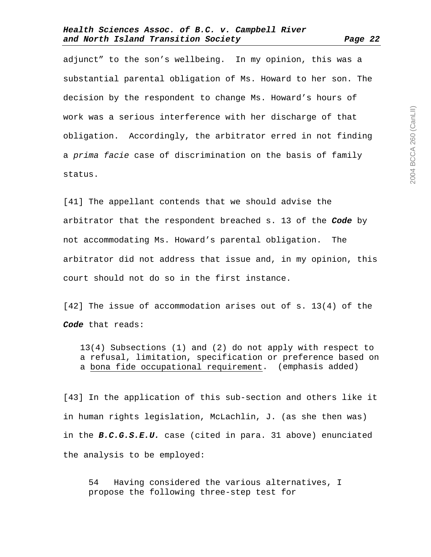adjunct" to the son's wellbeing. In my opinion, this was a substantial parental obligation of Ms. Howard to her son. The decision by the respondent to change Ms. Howard's hours of work was a serious interference with her discharge of that obligation. Accordingly, the arbitrator erred in not finding a prima facie case of discrimination on the basis of family status.

[41] The appellant contends that we should advise the arbitrator that the respondent breached s. 13 of the **Code** by not accommodating Ms. Howard's parental obligation. The arbitrator did not address that issue and, in my opinion, this court should not do so in the first instance.

[42] The issue of accommodation arises out of s. 13(4) of the **Code** that reads:

13(4) Subsections (1) and (2) do not apply with respect to a refusal, limitation, specification or preference based on a bona fide occupational requirement. (emphasis added)

[43] In the application of this sub-section and others like it in human rights legislation, McLachlin, J. (as she then was) in the **B.C.G.S.E.U.** case (cited in para. 31 above) enunciated the analysis to be employed:

54 Having considered the various alternatives, I propose the following three-step test for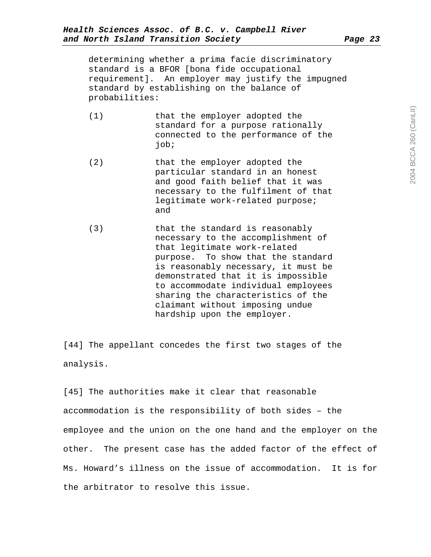determining whether a prima facie discriminatory standard is a BFOR [bona fide occupational requirement]. An employer may justify the impugned standard by establishing on the balance of probabilities:

- (1) that the employer adopted the standard for a purpose rationally connected to the performance of the job;
- (2) that the employer adopted the particular standard in an honest and good faith belief that it was necessary to the fulfilment of that legitimate work-related purpose; and
- (3) that the standard is reasonably necessary to the accomplishment of that legitimate work-related purpose. To show that the standard is reasonably necessary, it must be demonstrated that it is impossible to accommodate individual employees sharing the characteristics of the claimant without imposing undue hardship upon the employer.

[44] The appellant concedes the first two stages of the analysis.

[45] The authorities make it clear that reasonable accommodation is the responsibility of both sides – the employee and the union on the one hand and the employer on the other. The present case has the added factor of the effect of Ms. Howard's illness on the issue of accommodation. It is for the arbitrator to resolve this issue.